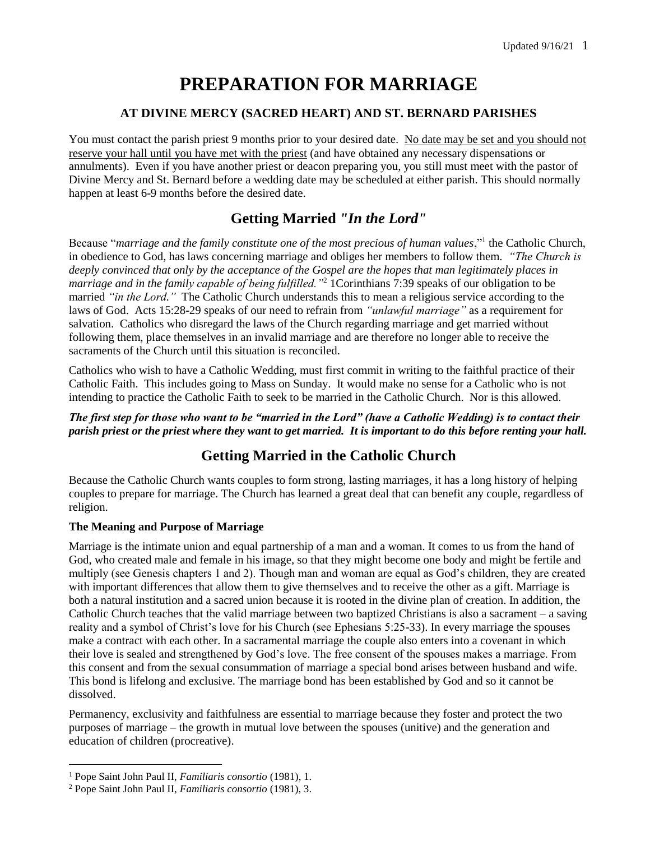# **PREPARATION FOR MARRIAGE**

### **AT DIVINE MERCY (SACRED HEART) AND ST. BERNARD PARISHES**

You must contact the parish priest 9 months prior to your desired date. No date may be set and you should not reserve your hall until you have met with the priest (and have obtained any necessary dispensations or annulments). Even if you have another priest or deacon preparing you, you still must meet with the pastor of Divine Mercy and St. Bernard before a wedding date may be scheduled at either parish. This should normally happen at least 6-9 months before the desired date.

# **Getting Married** *"In the Lord"*

Because "marriage and the family constitute one of the most precious of human values,"<sup>1</sup> the Catholic Church, in obedience to God, has laws concerning marriage and obliges her members to follow them. *"The Church is deeply convinced that only by the acceptance of the Gospel are the hopes that man legitimately places in marriage and in the family capable of being fulfilled."*<sup>2</sup> 1Corinthians 7:39 speaks of our obligation to be married *"in the Lord."* The Catholic Church understands this to mean a religious service according to the laws of God. Acts 15:28-29 speaks of our need to refrain from *"unlawful marriage"* as a requirement for salvation. Catholics who disregard the laws of the Church regarding marriage and get married without following them, place themselves in an invalid marriage and are therefore no longer able to receive the sacraments of the Church until this situation is reconciled.

Catholics who wish to have a Catholic Wedding, must first commit in writing to the faithful practice of their Catholic Faith. This includes going to Mass on Sunday. It would make no sense for a Catholic who is not intending to practice the Catholic Faith to seek to be married in the Catholic Church. Nor is this allowed.

### *The first step for those who want to be "married in the Lord" (have a Catholic Wedding) is to contact their parish priest or the priest where they want to get married. It is important to do this before renting your hall.*

# **Getting Married in the Catholic Church**

Because the Catholic Church wants couples to form strong, lasting marriages, it has a long history of helping couples to prepare for marriage. The Church has learned a great deal that can benefit any couple, regardless of religion.

### **The Meaning and Purpose of Marriage**

Marriage is the intimate union and equal partnership of a man and a woman. It comes to us from the hand of God, who created male and female in his image, so that they might become one body and might be fertile and multiply (see Genesis chapters 1 and 2). Though man and woman are equal as God's children, they are created with important differences that allow them to give themselves and to receive the other as a gift. Marriage is both a natural institution and a sacred union because it is rooted in the divine plan of creation. In addition, the Catholic Church teaches that the valid marriage between two baptized Christians is also a sacrament – a saving reality and a symbol of Christ's love for his Church (see Ephesians 5:25-33). In every marriage the spouses make a contract with each other. In a sacramental marriage the couple also enters into a covenant in which their love is sealed and strengthened by God's love. The free consent of the spouses makes a marriage. From this consent and from the sexual consummation of marriage a special bond arises between husband and wife. This bond is lifelong and exclusive. The marriage bond has been established by God and so it cannot be dissolved.

Permanency, exclusivity and faithfulness are essential to marriage because they foster and protect the two purposes of marriage – the growth in mutual love between the spouses (unitive) and the generation and education of children (procreative).

 $\overline{a}$ 

<sup>1</sup> Pope Saint John Paul II, *Familiaris consortio* (1981), 1.

<sup>2</sup> Pope Saint John Paul II, *Familiaris consortio* (1981), 3.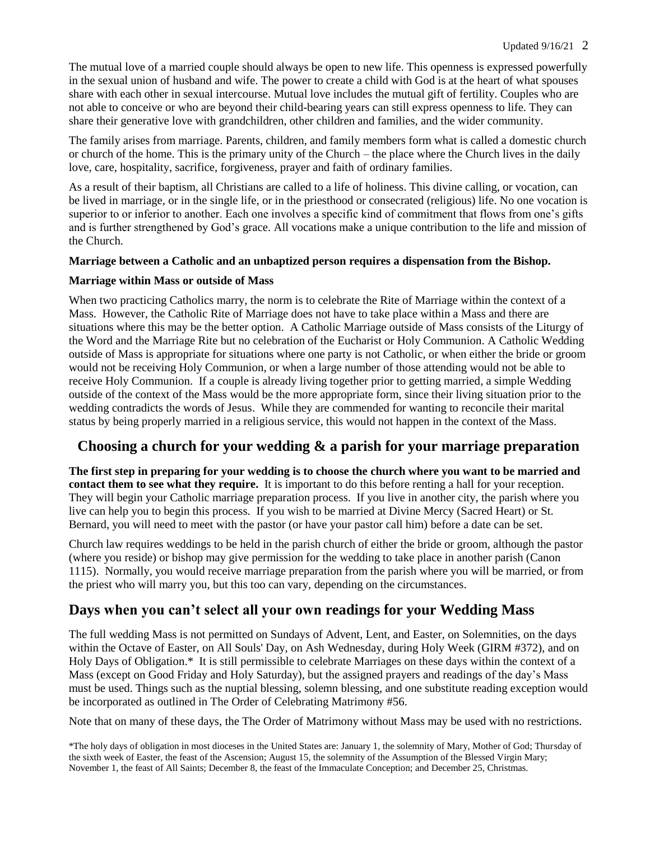The mutual love of a married couple should always be open to new life. This openness is expressed powerfully in the sexual union of husband and wife. The power to create a child with God is at the heart of what spouses share with each other in sexual intercourse. Mutual love includes the mutual gift of fertility. Couples who are not able to conceive or who are beyond their child-bearing years can still express openness to life. They can share their generative love with grandchildren, other children and families, and the wider community.

The family arises from marriage. Parents, children, and family members form what is called a domestic church or church of the home. This is the primary unity of the Church – the place where the Church lives in the daily love, care, hospitality, sacrifice, forgiveness, prayer and faith of ordinary families.

As a result of their baptism, all Christians are called to a life of holiness. This divine calling, or vocation, can be lived in marriage, or in the single life, or in the priesthood or consecrated (religious) life. No one vocation is superior to or inferior to another. Each one involves a specific kind of commitment that flows from one's gifts and is further strengthened by God's grace. All vocations make a unique contribution to the life and mission of the Church.

#### **Marriage between a Catholic and an unbaptized person requires a dispensation from the Bishop.**

#### **Marriage within Mass or outside of Mass**

When two practicing Catholics marry, the norm is to celebrate the Rite of Marriage within the context of a Mass. However, the Catholic Rite of Marriage does not have to take place within a Mass and there are situations where this may be the better option. A Catholic Marriage outside of Mass consists of the Liturgy of the Word and the Marriage Rite but no celebration of the Eucharist or Holy Communion. A Catholic Wedding outside of Mass is appropriate for situations where one party is not Catholic, or when either the bride or groom would not be receiving Holy Communion, or when a large number of those attending would not be able to receive Holy Communion. If a couple is already living together prior to getting married, a simple Wedding outside of the context of the Mass would be the more appropriate form, since their living situation prior to the wedding contradicts the words of Jesus. While they are commended for wanting to reconcile their marital status by being properly married in a religious service, this would not happen in the context of the Mass.

### **Choosing a church for your wedding & a parish for your marriage preparation**

**The first step in preparing for your wedding is to choose the church where you want to be married and contact them to see what they require.** It is important to do this before renting a hall for your reception. They will begin your Catholic marriage preparation process. If you live in another city, the parish where you live can help you to begin this process. If you wish to be married at Divine Mercy (Sacred Heart) or St. Bernard, you will need to meet with the pastor (or have your pastor call him) before a date can be set.

Church law requires weddings to be held in the parish church of either the bride or groom, although the pastor (where you reside) or bishop may give permission for the wedding to take place in another parish (Canon 1115). Normally, you would receive marriage preparation from the parish where you will be married, or from the priest who will marry you, but this too can vary, depending on the circumstances.

# **Days when you can't select all your own readings for your Wedding Mass**

The full wedding Mass is not permitted on Sundays of Advent, Lent, and Easter, on Solemnities, on the days within the Octave of Easter, on All Souls' Day, on Ash Wednesday, during Holy Week (GIRM #372), and on Holy Days of Obligation.\* It is still permissible to celebrate Marriages on these days within the context of a Mass (except on Good Friday and Holy Saturday), but the assigned prayers and readings of the day's Mass must be used. Things such as the nuptial blessing, solemn blessing, and one substitute reading exception would be incorporated as outlined in The Order of Celebrating Matrimony #56.

Note that on many of these days, the The Order of Matrimony without Mass may be used with no restrictions.

<sup>\*</sup>The holy days of obligation in most dioceses in the United States are: January 1, the solemnity of Mary, Mother of God; Thursday of the sixth week of Easter, the feast of the Ascension; August 15, the solemnity of the Assumption of the Blessed Virgin Mary; November 1, the feast of All Saints; December 8, the feast of the Immaculate Conception; and December 25, Christmas.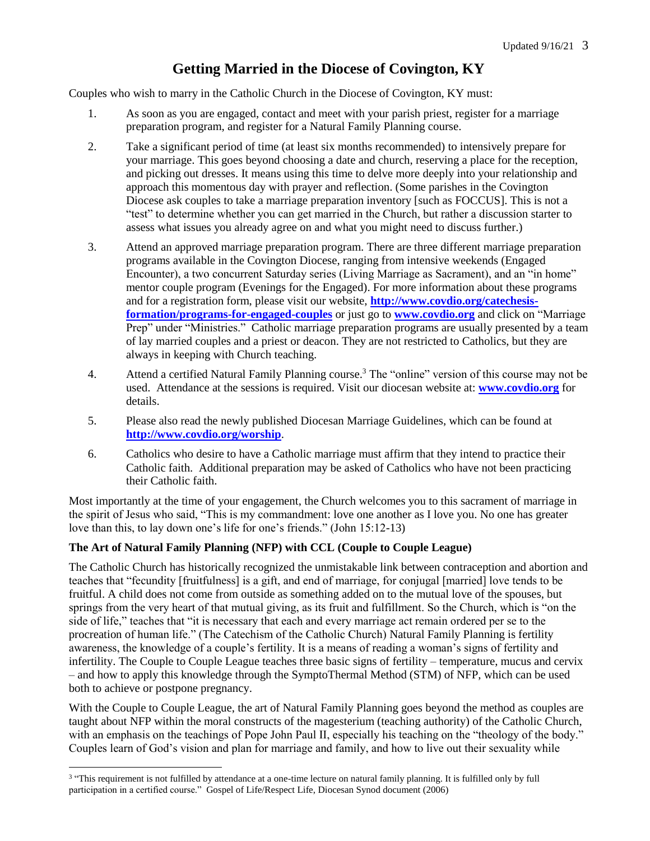# **Getting Married in the Diocese of Covington, KY**

Couples who wish to marry in the Catholic Church in the Diocese of Covington, KY must:

- 1. As soon as you are engaged, contact and meet with your parish priest, register for a marriage preparation program, and register for a Natural Family Planning course.
- 2. Take a significant period of time (at least six months recommended) to intensively prepare for your marriage. This goes beyond choosing a date and church, reserving a place for the reception, and picking out dresses. It means using this time to delve more deeply into your relationship and approach this momentous day with prayer and reflection. (Some parishes in the Covington Diocese ask couples to take a marriage preparation inventory [such as FOCCUS]. This is not a "test" to determine whether you can get married in the Church, but rather a discussion starter to assess what issues you already agree on and what you might need to discuss further.)
- 3. Attend an approved marriage preparation program. There are three different marriage preparation programs available in the Covington Diocese, ranging from intensive weekends (Engaged Encounter), a two concurrent Saturday series (Living Marriage as Sacrament), and an "in home" mentor couple program (Evenings for the Engaged). For more information about these programs and for a registration form, please visit our website, **[http://www.covdio.org/catechesis](http://www.covdio.org/catechesis-formation/programs-for-engaged-couples)[formation/programs-for-engaged-couples](http://www.covdio.org/catechesis-formation/programs-for-engaged-couples)** or just go to **[www.covdio.org](http://www.covdio.org/)** and click on "Marriage Prep" under "Ministries." Catholic marriage preparation programs are usually presented by a team of lay married couples and a priest or deacon. They are not restricted to Catholics, but they are always in keeping with Church teaching.
- 4. Attend a certified Natural Family Planning course.<sup>3</sup> The "online" version of this course may not be used. Attendance at the sessions is required. Visit our diocesan website at: **[www.covdio.org](http://www.covdio.org/)** for details.
- 5. Please also read the newly published Diocesan Marriage Guidelines, which can be found at **<http://www.covdio.org/worship>**.
- 6. Catholics who desire to have a Catholic marriage must affirm that they intend to practice their Catholic faith. Additional preparation may be asked of Catholics who have not been practicing their Catholic faith.

Most importantly at the time of your engagement, the Church welcomes you to this sacrament of marriage in the spirit of Jesus who said, "This is my commandment: love one another as I love you. No one has greater love than this, to lay down one's life for one's friends." (John 15:12-13)

### **The Art of Natural Family Planning (NFP) with CCL (Couple to Couple League)**

The Catholic Church has historically recognized the unmistakable link between contraception and abortion and teaches that "fecundity [fruitfulness] is a gift, and end of marriage, for conjugal [married] love tends to be fruitful. A child does not come from outside as something added on to the mutual love of the spouses, but springs from the very heart of that mutual giving, as its fruit and fulfillment. So the Church, which is "on the side of life," teaches that "it is necessary that each and every marriage act remain ordered per se to the procreation of human life." (The Catechism of the Catholic Church) Natural Family Planning is fertility awareness, the knowledge of a couple's fertility. It is a means of reading a woman's signs of fertility and infertility. The Couple to Couple League teaches three basic signs of fertility – temperature, mucus and cervix – and how to apply this knowledge through the SymptoThermal Method (STM) of NFP, which can be used both to achieve or postpone pregnancy.

With the Couple to Couple League, the art of Natural Family Planning goes beyond the method as couples are taught about NFP within the moral constructs of the magesterium (teaching authority) of the Catholic Church, with an emphasis on the teachings of Pope John Paul II, especially his teaching on the "theology of the body." Couples learn of God's vision and plan for marriage and family, and how to live out their sexuality while

 $\overline{a}$ 

<sup>&</sup>lt;sup>3</sup> "This requirement is not fulfilled by attendance at a one-time lecture on natural family planning. It is fulfilled only by full participation in a certified course." Gospel of Life/Respect Life, Diocesan Synod document (2006)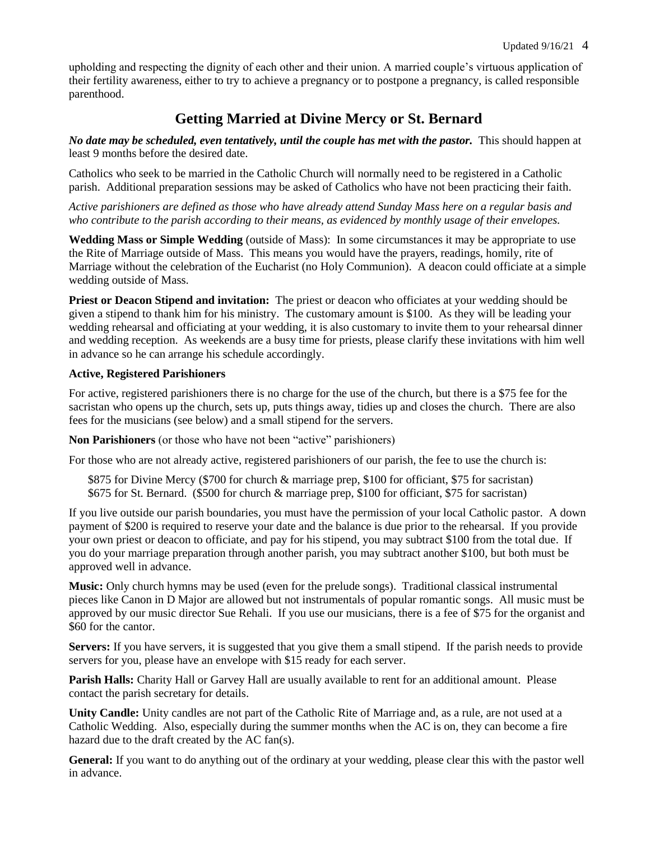upholding and respecting the dignity of each other and their union. A married couple's virtuous application of their fertility awareness, either to try to achieve a pregnancy or to postpone a pregnancy, is called responsible parenthood.

## **Getting Married at Divine Mercy or St. Bernard**

*No date may be scheduled, even tentatively, until the couple has met with the pastor.* This should happen at least 9 months before the desired date.

Catholics who seek to be married in the Catholic Church will normally need to be registered in a Catholic parish. Additional preparation sessions may be asked of Catholics who have not been practicing their faith.

*Active parishioners are defined as those who have already attend Sunday Mass here on a regular basis and who contribute to the parish according to their means, as evidenced by monthly usage of their envelopes.* 

**Wedding Mass or Simple Wedding** (outside of Mass): In some circumstances it may be appropriate to use the Rite of Marriage outside of Mass. This means you would have the prayers, readings, homily, rite of Marriage without the celebration of the Eucharist (no Holy Communion). A deacon could officiate at a simple wedding outside of Mass.

**Priest or Deacon Stipend and invitation:** The priest or deacon who officiates at your wedding should be given a stipend to thank him for his ministry. The customary amount is \$100. As they will be leading your wedding rehearsal and officiating at your wedding, it is also customary to invite them to your rehearsal dinner and wedding reception. As weekends are a busy time for priests, please clarify these invitations with him well in advance so he can arrange his schedule accordingly.

### **Active, Registered Parishioners**

For active, registered parishioners there is no charge for the use of the church, but there is a \$75 fee for the sacristan who opens up the church, sets up, puts things away, tidies up and closes the church. There are also fees for the musicians (see below) and a small stipend for the servers.

**Non Parishioners** (or those who have not been "active" parishioners)

For those who are not already active, registered parishioners of our parish, the fee to use the church is:

\$875 for Divine Mercy (\$700 for church & marriage prep, \$100 for officiant, \$75 for sacristan) \$675 for St. Bernard. (\$500 for church & marriage prep, \$100 for officiant, \$75 for sacristan)

If you live outside our parish boundaries, you must have the permission of your local Catholic pastor. A down payment of \$200 is required to reserve your date and the balance is due prior to the rehearsal. If you provide your own priest or deacon to officiate, and pay for his stipend, you may subtract \$100 from the total due. If you do your marriage preparation through another parish, you may subtract another \$100, but both must be approved well in advance.

**Music:** Only church hymns may be used (even for the prelude songs). Traditional classical instrumental pieces like Canon in D Major are allowed but not instrumentals of popular romantic songs. All music must be approved by our music director Sue Rehali. If you use our musicians, there is a fee of \$75 for the organist and \$60 for the cantor.

**Servers:** If you have servers, it is suggested that you give them a small stipend. If the parish needs to provide servers for you, please have an envelope with \$15 ready for each server.

**Parish Halls:** Charity Hall or Garvey Hall are usually available to rent for an additional amount. Please contact the parish secretary for details.

**Unity Candle:** Unity candles are not part of the Catholic Rite of Marriage and, as a rule, are not used at a Catholic Wedding. Also, especially during the summer months when the AC is on, they can become a fire hazard due to the draft created by the AC fan(s).

**General:** If you want to do anything out of the ordinary at your wedding, please clear this with the pastor well in advance.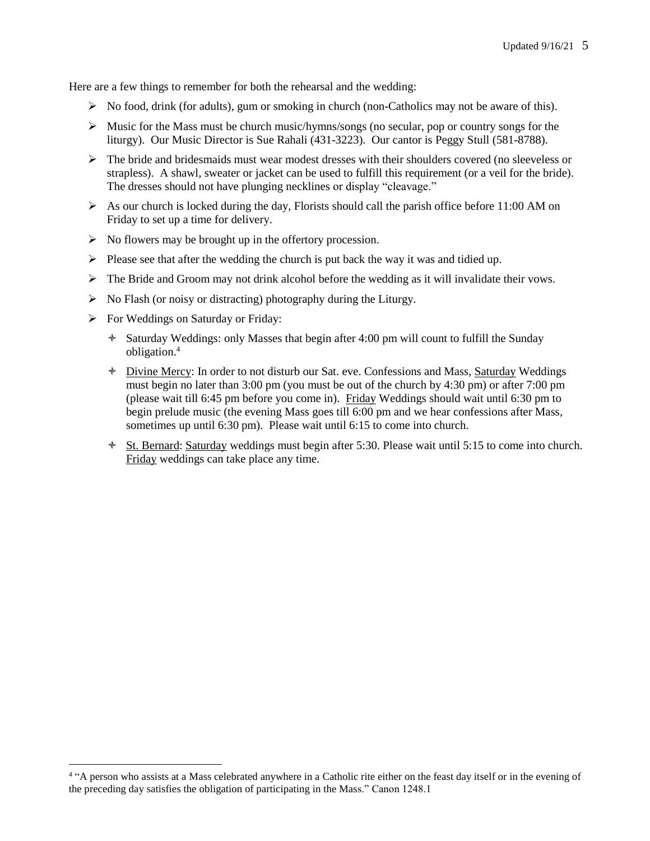Here are a few things to remember for both the rehearsal and the wedding:

- $\triangleright$  No food, drink (for adults), gum or smoking in church (non-Catholics may not be aware of this).
- $\triangleright$  Music for the Mass must be church music/hymns/songs (no secular, pop or country songs for the liturgy). Our Music Director is Sue Rahali (431-3223). Our cantor is Peggy Stull (581-8788).
- $\triangleright$  The bride and bridesmaids must wear modest dresses with their shoulders covered (no sleeveless or strapless). A shawl, sweater or jacket can be used to fulfill this requirement (or a veil for the bride). The dresses should not have plunging necklines or display "cleavage."
- $\triangleright$  As our church is locked during the day, Florists should call the parish office before 11:00 AM on Friday to set up a time for delivery.
- $\triangleright$  No flowers may be brought up in the offertory procession.
- $\triangleright$  Please see that after the wedding the church is put back the way it was and tidied up.
- $\triangleright$  The Bride and Groom may not drink alcohol before the wedding as it will invalidate their vows.
- $\triangleright$  No Flash (or noisy or distracting) photography during the Liturgy.
- $\triangleright$  For Weddings on Saturday or Friday:

 $\overline{a}$ 

- Saturday Weddings: only Masses that begin after 4:00 pm will count to fulfill the Sunday obligation.<sup>4</sup>
- Divine Mercy: In order to not disturb our Sat. eve. Confessions and Mass, Saturday Weddings must begin no later than 3:00 pm (you must be out of the church by 4:30 pm) or after 7:00 pm (please wait till 6:45 pm before you come in). Friday Weddings should wait until 6:30 pm to begin prelude music (the evening Mass goes till 6:00 pm and we hear confessions after Mass, sometimes up until 6:30 pm). Please wait until 6:15 to come into church.
- $\div$  St. Bernard: Saturday weddings must begin after 5:30. Please wait until 5:15 to come into church. Friday weddings can take place any time.

<sup>&</sup>lt;sup>4</sup> "A person who assists at a Mass celebrated anywhere in a Catholic rite either on the feast day itself or in the evening of the preceding day satisfies the obligation of participating in the Mass." Canon 1248.1